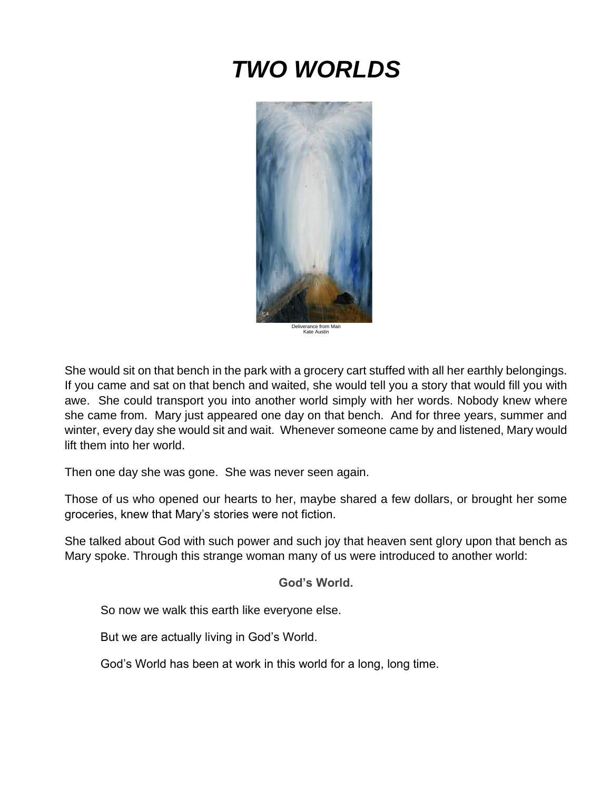# *TWO WORLDS*



Deliverance from Man Kate Austin

She would sit on that bench in the park with a grocery cart stuffed with all her earthly belongings. If you came and sat on that bench and waited, she would tell you a story that would fill you with awe. She could transport you into another world simply with her words. Nobody knew where she came from. Mary just appeared one day on that bench. And for three years, summer and winter, every day she would sit and wait. Whenever someone came by and listened, Mary would lift them into her world.

Then one day she was gone. She was never seen again.

Those of us who opened our hearts to her, maybe shared a few dollars, or brought her some groceries, knew that Mary's stories were not fiction.

She talked about God with such power and such joy that heaven sent glory upon that bench as Mary spoke. Through this strange woman many of us were introduced to another world:

**God's World.**

So now we walk this earth like everyone else.

But we are actually living in God's World.

God's World has been at work in this world for a long, long time.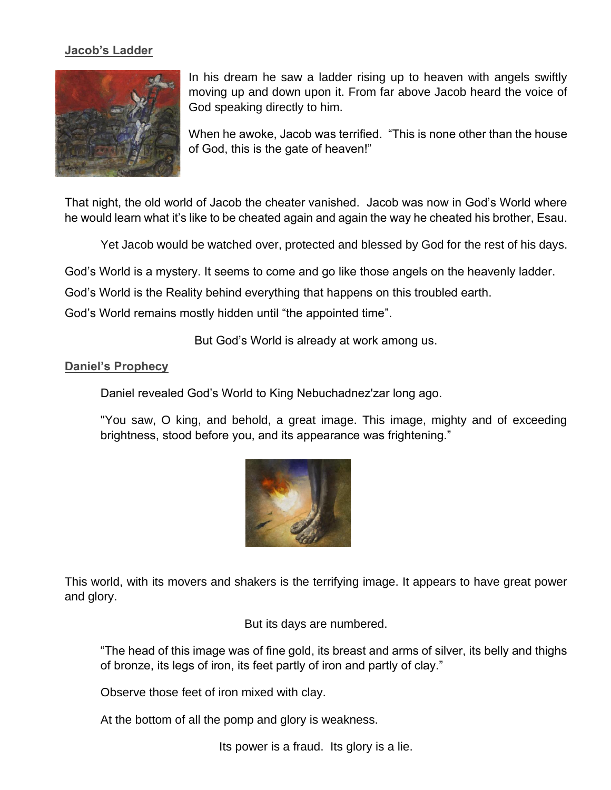#### **Jacob's Ladder**



In his dream he saw a ladder rising up to heaven with angels swiftly moving up and down upon it. From far above Jacob heard the voice of God speaking directly to him.

When he awoke, Jacob was terrified. "This is none other than the house of God, this is the gate of heaven!"

That night, the old world of Jacob the cheater vanished. Jacob was now in God's World where he would learn what it's like to be cheated again and again the way he cheated his brother, Esau.

Yet Jacob would be watched over, protected and blessed by God for the rest of his days.

God's World is a mystery. It seems to come and go like those angels on the heavenly ladder.

God's World is the Reality behind everything that happens on this troubled earth.

God's World remains mostly hidden until "the appointed time".

But God's World is already at work among us.

### **Daniel's Prophecy**

Daniel revealed God's World to King Nebuchadnez'zar long ago.

"You saw, O king, and behold, a great image. This image, mighty and of exceeding brightness, stood before you, and its appearance was frightening."



This world, with its movers and shakers is the terrifying image. It appears to have great power and glory.

But its days are numbered.

"The head of this image was of fine gold, its breast and arms of silver, its belly and thighs of bronze, its legs of iron, its feet partly of iron and partly of clay."

Observe those feet of iron mixed with clay.

At the bottom of all the pomp and glory is weakness.

Its power is a fraud. Its glory is a lie.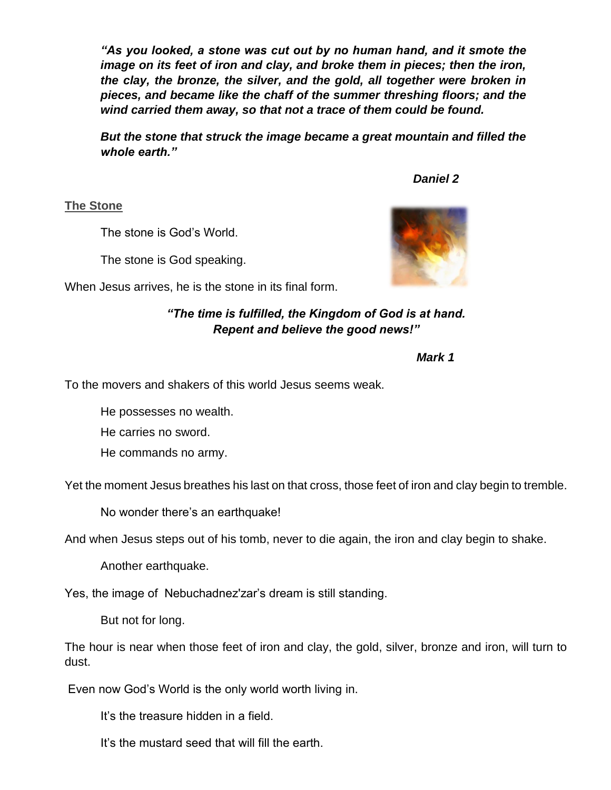*"As you looked, a stone was cut out by no human hand, and it smote the image on its feet of iron and clay, and broke them in pieces; then the iron, the clay, the bronze, the silver, and the gold, all together were broken in pieces, and became like the chaff of the summer threshing floors; and the wind carried them away, so that not a trace of them could be found.*

*But the stone that struck the image became a great mountain and filled the whole earth."*

*Daniel 2* 

**The Stone**

The stone is God's World.

The stone is God speaking.

When Jesus arrives, he is the stone in its final form.

## *"The time is fulfilled, the Kingdom of God is at hand. Repent and believe the good news!"*

*Mark 1*

To the movers and shakers of this world Jesus seems weak.

He possesses no wealth.

He carries no sword.

He commands no army.

Yet the moment Jesus breathes his last on that cross, those feet of iron and clay begin to tremble.

No wonder there's an earthquake!

And when Jesus steps out of his tomb, never to die again, the iron and clay begin to shake.

Another earthquake.

Yes, the image of Nebuchadnez'zar's dream is still standing.

But not for long.

The hour is near when those feet of iron and clay, the gold, silver, bronze and iron, will turn to dust.

Even now God's World is the only world worth living in.

It's the treasure hidden in a field.

It's the mustard seed that will fill the earth.